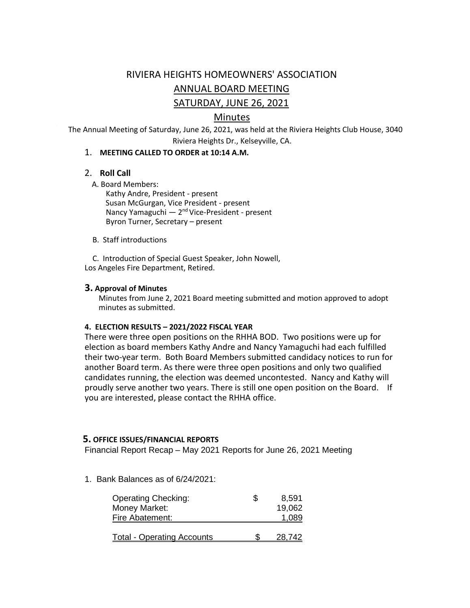# RIVIERA HEIGHTS HOMEOWNERS' ASSOCIATION ANNUAL BOARD MEETING SATURDAY, JUNE 26, 2021

# Minutes

The Annual Meeting of Saturday, June 26, 2021, was held at the Riviera Heights Club House, 3040 Riviera Heights Dr., Kelseyville, CA.

#### 1. **MEETING CALLED TO ORDER at 10:14 A.M.**

#### 2. **Roll Call**

A. Board Members:

Kathy Andre, President - present Susan McGurgan, Vice President - present Nancy Yamaguchi — 2<sup>nd</sup> Vice-President - present Byron Turner, Secretary – present

B. Staff introductions

 C. Introduction of Special Guest Speaker, John Nowell, Los Angeles Fire Department, Retired.

#### **3. Approval of Minutes**

Minutes from June 2, 2021 Board meeting submitted and motion approved to adopt minutes as submitted.

#### **4. ELECTION RESULTS – 2021/2022 FISCAL YEAR**

 There were three open positions on the RHHA BOD. Two positions were up for election as board members Kathy Andre and Nancy Yamaguchi had each fulfilled their two-year term. Both Board Members submitted candidacy notices to run for another Board term. As there were three open positions and only two qualified candidates running, the election was deemed uncontested. Nancy and Kathy will proudly serve another two years. There is still one open position on the Board. If you are interested, please contact the RHHA office.

#### **5. OFFICE ISSUES/FINANCIAL REPORTS**

Financial Report Recap – May 2021 Reports for June 26, 2021 Meeting

1. Bank Balances as of 6/24/2021:

| <b>Operating Checking:</b><br>Money Market:<br>Fire Abatement: | S | 8,591<br>19,062<br>1.089 |
|----------------------------------------------------------------|---|--------------------------|
| <u> Total - Operating Accounts</u>                             |   | 28.742                   |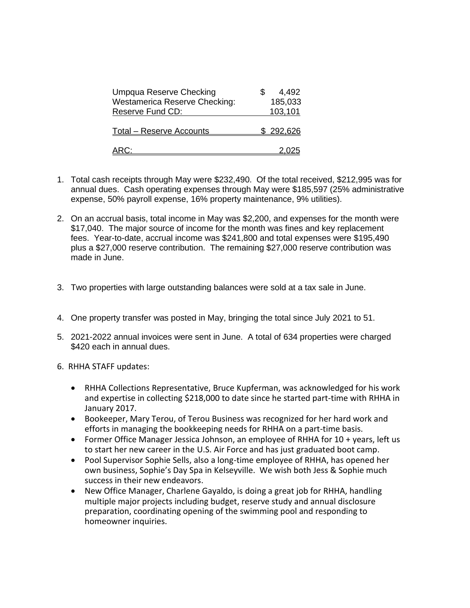| Umpqua Reserve Checking              | 4,492            |
|--------------------------------------|------------------|
| <b>Westamerica Reserve Checking:</b> | 185,033          |
| Reserve Fund CD:                     | 103,101          |
| <b>Total - Reserve Accounts</b>      | <u>\$292,626</u> |
| ARC:                                 |                  |

- 1. Total cash receipts through May were \$232,490. Of the total received, \$212,995 was for annual dues. Cash operating expenses through May were \$185,597 (25% administrative expense, 50% payroll expense, 16% property maintenance, 9% utilities).
- 2. On an accrual basis, total income in May was \$2,200, and expenses for the month were \$17,040. The major source of income for the month was fines and key replacement fees. Year-to-date, accrual income was \$241,800 and total expenses were \$195,490 plus a \$27,000 reserve contribution. The remaining \$27,000 reserve contribution was made in June.
- 3. Two properties with large outstanding balances were sold at a tax sale in June.
- 4. One property transfer was posted in May, bringing the total since July 2021 to 51.
- 5. 2021-2022 annual invoices were sent in June. A total of 634 properties were charged \$420 each in annual dues.
- 6. RHHA STAFF updates:
	- RHHA Collections Representative, Bruce Kupferman, was acknowledged for his work and expertise in collecting \$218,000 to date since he started part-time with RHHA in January 2017.
	- Bookeeper, Mary Terou, of Terou Business was recognized for her hard work and efforts in managing the bookkeeping needs for RHHA on a part-time basis.
	- Former Office Manager Jessica Johnson, an employee of RHHA for 10 + years, left us to start her new career in the U.S. Air Force and has just graduated boot camp.
	- Pool Supervisor Sophie Sells, also a long-time employee of RHHA, has opened her own business, Sophie's Day Spa in Kelseyville. We wish both Jess & Sophie much success in their new endeavors.
	- New Office Manager, Charlene Gayaldo, is doing a great job for RHHA, handling multiple major projects including budget, reserve study and annual disclosure preparation, coordinating opening of the swimming pool and responding to homeowner inquiries.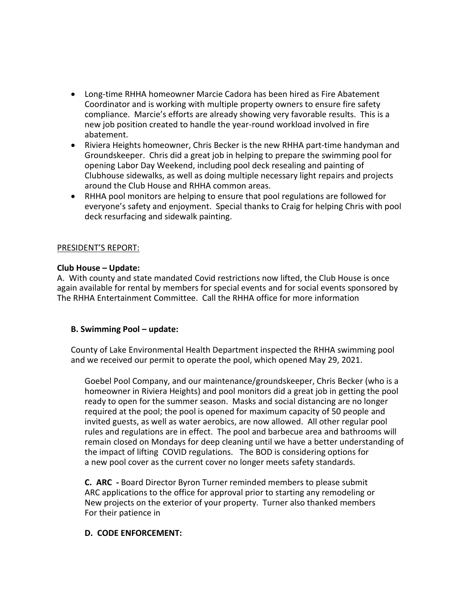- Long-time RHHA homeowner Marcie Cadora has been hired as Fire Abatement Coordinator and is working with multiple property owners to ensure fire safety compliance. Marcie's efforts are already showing very favorable results. This is a new job position created to handle the year-round workload involved in fire abatement.
- Riviera Heights homeowner, Chris Becker is the new RHHA part-time handyman and Groundskeeper. Chris did a great job in helping to prepare the swimming pool for opening Labor Day Weekend, including pool deck resealing and painting of Clubhouse sidewalks, as well as doing multiple necessary light repairs and projects around the Club House and RHHA common areas.
- RHHA pool monitors are helping to ensure that pool regulations are followed for everyone's safety and enjoyment. Special thanks to Craig for helping Chris with pool deck resurfacing and sidewalk painting.

#### PRESIDENT'S REPORT:

# **Club House – Update:**

A. With county and state mandated Covid restrictions now lifted, the Club House is once again available for rental by members for special events and for social events sponsored by The RHHA Entertainment Committee. Call the RHHA office for more information

# **B. Swimming Pool – update:**

County of Lake Environmental Health Department inspected the RHHA swimming pool and we received our permit to operate the pool, which opened May 29, 2021.

Goebel Pool Company, and our maintenance/groundskeeper, Chris Becker (who is a homeowner in Riviera Heights) and pool monitors did a great job in getting the pool ready to open for the summer season. Masks and social distancing are no longer required at the pool; the pool is opened for maximum capacity of 50 people and invited guests, as well as water aerobics, are now allowed. All other regular pool rules and regulations are in effect. The pool and barbecue area and bathrooms will remain closed on Mondays for deep cleaning until we have a better understanding of the impact of lifting COVID regulations. The BOD is considering options for a new pool cover as the current cover no longer meets safety standards.

**C. ARC -** Board Director Byron Turner reminded members to please submit ARC applications to the office for approval prior to starting any remodeling or New projects on the exterior of your property. Turner also thanked members For their patience in

#### **D. CODE ENFORCEMENT:**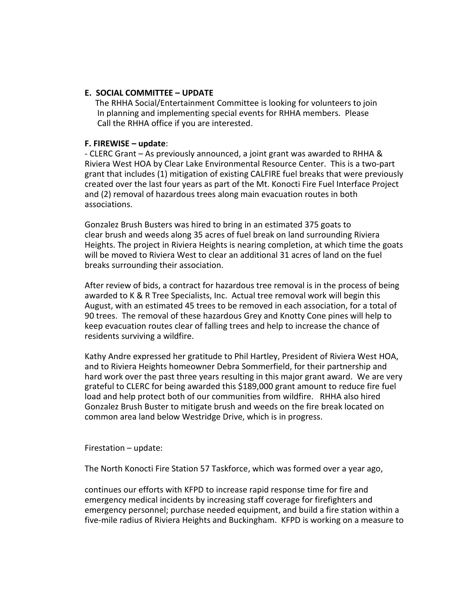## **E. SOCIAL COMMITTEE – UPDATE**

 The RHHA Social/Entertainment Committee is looking for volunteers to join In planning and implementing special events for RHHA members. Please Call the RHHA office if you are interested.

## **F. FIREWISE – update**:

- CLERC Grant – As previously announced, a joint grant was awarded to RHHA & Riviera West HOA by Clear Lake Environmental Resource Center. This is a two-part grant that includes (1) mitigation of existing CALFIRE fuel breaks that were previously created over the last four years as part of the Mt. Konocti Fire Fuel Interface Project and (2) removal of hazardous trees along main evacuation routes in both associations.

Gonzalez Brush Busters was hired to bring in an estimated 375 goats to clear brush and weeds along 35 acres of fuel break on land surrounding Riviera Heights. The project in Riviera Heights is nearing completion, at which time the goats will be moved to Riviera West to clear an additional 31 acres of land on the fuel breaks surrounding their association.

After review of bids, a contract for hazardous tree removal is in the process of being awarded to K & R Tree Specialists, Inc. Actual tree removal work will begin this August, with an estimated 45 trees to be removed in each association, for a total of 90 trees. The removal of these hazardous Grey and Knotty Cone pines will help to keep evacuation routes clear of falling trees and help to increase the chance of residents surviving a wildfire.

Kathy Andre expressed her gratitude to Phil Hartley, President of Riviera West HOA, and to Riviera Heights homeowner Debra Sommerfield, for their partnership and hard work over the past three years resulting in this major grant award. We are very grateful to CLERC for being awarded this \$189,000 grant amount to reduce fire fuel load and help protect both of our communities from wildfire. RHHA also hired Gonzalez Brush Buster to mitigate brush and weeds on the fire break located on common area land below Westridge Drive, which is in progress.

Firestation – update:

The North Konocti Fire Station 57 Taskforce, which was formed over a year ago,

continues our efforts with KFPD to increase rapid response time for fire and emergency medical incidents by increasing staff coverage for firefighters and emergency personnel; purchase needed equipment, and build a fire station within a five-mile radius of Riviera Heights and Buckingham. KFPD is working on a measure to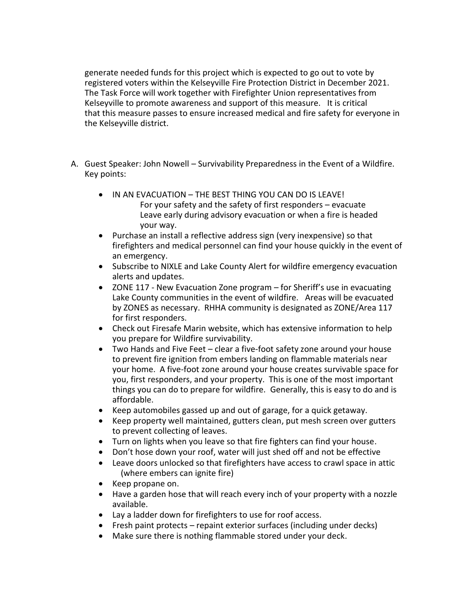generate needed funds for this project which is expected to go out to vote by registered voters within the Kelseyville Fire Protection District in December 2021. The Task Force will work together with Firefighter Union representatives from Kelseyville to promote awareness and support of this measure. It is critical that this measure passes to ensure increased medical and fire safety for everyone in the Kelseyville district.

- A. Guest Speaker: John Nowell Survivability Preparedness in the Event of a Wildfire. Key points:
	- IN AN EVACUATION THE BEST THING YOU CAN DO IS LEAVE! For your safety and the safety of first responders – evacuate Leave early during advisory evacuation or when a fire is headed your way.
	- Purchase an install a reflective address sign (very inexpensive) so that firefighters and medical personnel can find your house quickly in the event of an emergency.
	- Subscribe to NIXLE and Lake County Alert for wildfire emergency evacuation alerts and updates.
	- ZONE 117 New Evacuation Zone program for Sheriff's use in evacuating Lake County communities in the event of wildfire. Areas will be evacuated by ZONES as necessary. RHHA community is designated as ZONE/Area 117 for first responders.
	- Check out Firesafe Marin website, which has extensive information to help you prepare for Wildfire survivability.
	- Two Hands and Five Feet clear a five-foot safety zone around your house to prevent fire ignition from embers landing on flammable materials near your home. A five-foot zone around your house creates survivable space for you, first responders, and your property. This is one of the most important things you can do to prepare for wildfire. Generally, this is easy to do and is affordable.
	- Keep automobiles gassed up and out of garage, for a quick getaway.
	- Keep property well maintained, gutters clean, put mesh screen over gutters to prevent collecting of leaves.
	- Turn on lights when you leave so that fire fighters can find your house.
	- Don't hose down your roof, water will just shed off and not be effective
	- Leave doors unlocked so that firefighters have access to crawl space in attic (where embers can ignite fire)
	- Keep propane on.
	- Have a garden hose that will reach every inch of your property with a nozzle available.
	- Lay a ladder down for firefighters to use for roof access.
	- Fresh paint protects repaint exterior surfaces (including under decks)
	- Make sure there is nothing flammable stored under your deck.